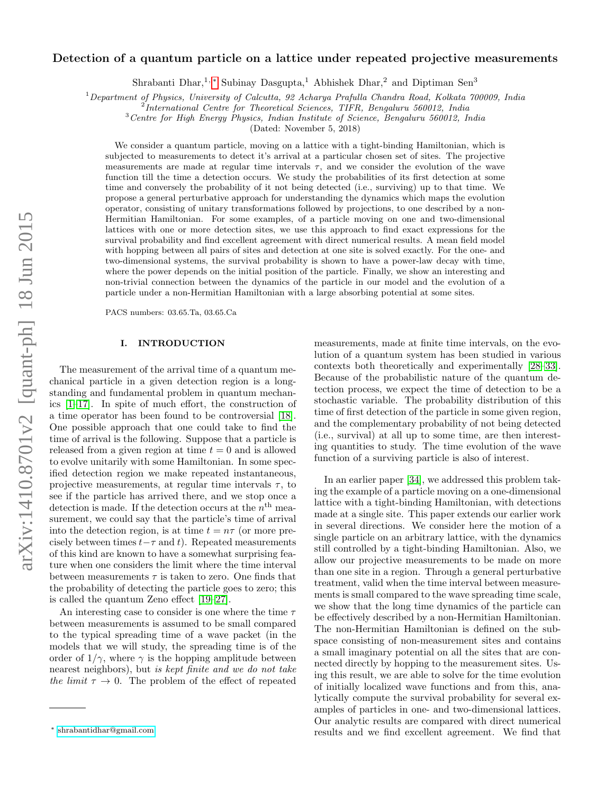# arXiv:1410.8701v2 [quant-ph] 18 Jun 2015 arXiv:1410.8701v2 [quant-ph] 18 Jun 2015

# Detection of a quantum particle on a lattice under repeated projective measurements

Shrabanti Dhar,<sup>1,\*</sup> Subinay Dasgupta,<sup>1</sup> Abhishek Dhar,<sup>2</sup> and Diptiman Sen<sup>3</sup>

 $1$ Department of Physics, University of Calcutta, 92 Acharya Prafulla Chandra Road, Kolkata 700009, India

<sup>2</sup>International Centre for Theoretical Sciences, TIFR, Bengaluru 560012, India

<sup>3</sup>Centre for High Energy Physics, Indian Institute of Science, Bengaluru 560012, India

(Dated: November 5, 2018)

We consider a quantum particle, moving on a lattice with a tight-binding Hamiltonian, which is subjected to measurements to detect it's arrival at a particular chosen set of sites. The projective measurements are made at regular time intervals  $\tau$ , and we consider the evolution of the wave function till the time a detection occurs. We study the probabilities of its first detection at some time and conversely the probability of it not being detected (i.e., surviving) up to that time. We propose a general perturbative approach for understanding the dynamics which maps the evolution operator, consisting of unitary transformations followed by projections, to one described by a non-Hermitian Hamiltonian. For some examples, of a particle moving on one and two-dimensional lattices with one or more detection sites, we use this approach to find exact expressions for the survival probability and find excellent agreement with direct numerical results. A mean field model with hopping between all pairs of sites and detection at one site is solved exactly. For the one- and two-dimensional systems, the survival probability is shown to have a power-law decay with time, where the power depends on the initial position of the particle. Finally, we show an interesting and non-trivial connection between the dynamics of the particle in our model and the evolution of a particle under a non-Hermitian Hamiltonian with a large absorbing potential at some sites.

PACS numbers: 03.65.Ta, 03.65.Ca

### I. INTRODUCTION

The measurement of the arrival time of a quantum mechanical particle in a given detection region is a longstanding and fundamental problem in quantum mechanics [\[1–](#page-9-0)[17\]](#page-9-1). In spite of much effort, the construction of a time operator has been found to be controversial [\[18\]](#page-9-2). One possible approach that one could take to find the time of arrival is the following. Suppose that a particle is released from a given region at time  $t = 0$  and is allowed to evolve unitarily with some Hamiltonian. In some specified detection region we make repeated instantaneous, projective measurements, at regular time intervals  $\tau$ , to see if the particle has arrived there, and we stop once a detection is made. If the detection occurs at the  $n<sup>th</sup>$  measurement, we could say that the particle's time of arrival into the detection region, is at time  $t = n\tau$  (or more precisely between times  $t-\tau$  and t). Repeated measurements of this kind are known to have a somewhat surprising feature when one considers the limit where the time interval between measurements  $\tau$  is taken to zero. One finds that the probability of detecting the particle goes to zero; this is called the quantum Zeno effect [\[19](#page-9-3)[–27\]](#page-9-4).

An interesting case to consider is one where the time  $\tau$ between measurements is assumed to be small compared to the typical spreading time of a wave packet (in the models that we will study, the spreading time is of the order of  $1/\gamma$ , where  $\gamma$  is the hopping amplitude between nearest neighbors), but is kept finite and we do not take the limit  $\tau \to 0$ . The problem of the effect of repeated

measurements, made at finite time intervals, on the evolution of a quantum system has been studied in various contexts both theoretically and experimentally [\[28–](#page-9-5)[33\]](#page-10-0). Because of the probabilistic nature of the quantum detection process, we expect the time of detection to be a stochastic variable. The probability distribution of this time of first detection of the particle in some given region, and the complementary probability of not being detected (i.e., survival) at all up to some time, are then interesting quantities to study. The time evolution of the wave function of a surviving particle is also of interest.

In an earlier paper [\[34\]](#page-10-1), we addressed this problem taking the example of a particle moving on a one-dimensional lattice with a tight-binding Hamiltonian, with detections made at a single site. This paper extends our earlier work in several directions. We consider here the motion of a single particle on an arbitrary lattice, with the dynamics still controlled by a tight-binding Hamiltonian. Also, we allow our projective measurements to be made on more than one site in a region. Through a general perturbative treatment, valid when the time interval between measurements is small compared to the wave spreading time scale, we show that the long time dynamics of the particle can be effectively described by a non-Hermitian Hamiltonian. The non-Hermitian Hamiltonian is defined on the subspace consisting of non-measurement sites and contains a small imaginary potential on all the sites that are connected directly by hopping to the measurement sites. Using this result, we are able to solve for the time evolution of initially localized wave functions and from this, analytically compute the survival probability for several examples of particles in one- and two-dimensional lattices. Our analytic results are compared with direct numerical results and we find excellent agreement. We find that

<span id="page-0-0"></span><sup>∗</sup> [shrabantidhar@gmail.com](mailto:shrabantidhar@gmail.com)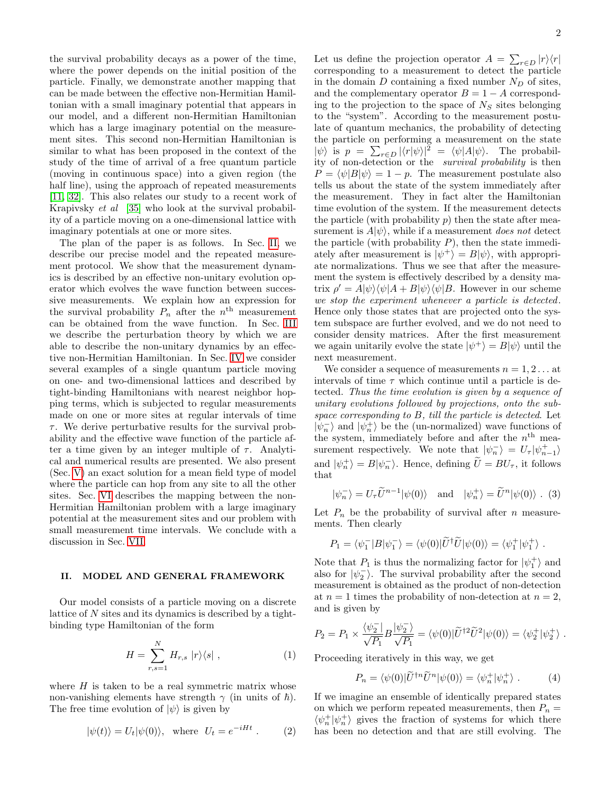the survival probability decays as a power of the time, where the power depends on the initial position of the particle. Finally, we demonstrate another mapping that can be made between the effective non-Hermitian Hamiltonian with a small imaginary potential that appears in our model, and a different non-Hermitian Hamiltonian which has a large imaginary potential on the measurement sites. This second non-Hermitian Hamiltonian is similar to what has been proposed in the context of the study of the time of arrival of a free quantum particle (moving in continuous space) into a given region (the half line), using the approach of repeated measurements [\[11,](#page-9-6) [32\]](#page-10-2). This also relates our study to a recent work of Krapivsky et al [\[35\]](#page-10-3) who look at the survival probability of a particle moving on a one-dimensional lattice with imaginary potentials at one or more sites.

The plan of the paper is as follows. In Sec. [II,](#page-1-0) we describe our precise model and the repeated measurement protocol. We show that the measurement dynamics is described by an effective non-unitary evolution operator which evolves the wave function between successive measurements. We explain how an expression for the survival probability  $P_n$  after the  $n^{\text{th}}$  measurement can be obtained from the wave function. In Sec. [III](#page-2-0) we describe the perturbation theory by which we are able to describe the non-unitary dynamics by an effective non-Hermitian Hamiltonian. In Sec. [IV](#page-2-1) we consider several examples of a single quantum particle moving on one- and two-dimensional lattices and described by tight-binding Hamiltonians with nearest neighbor hopping terms, which is subjected to regular measurements made on one or more sites at regular intervals of time  $\tau$ . We derive perturbative results for the survival probability and the effective wave function of the particle after a time given by an integer multiple of  $\tau$ . Analytical and numerical results are presented. We also present (Sec. [V\)](#page-7-0) an exact solution for a mean field type of model where the particle can hop from any site to all the other sites. Sec. [VI](#page-7-1) describes the mapping between the non-Hermitian Hamiltonian problem with a large imaginary potential at the measurement sites and our problem with small measurement time intervals. We conclude with a discussion in Sec. [VII.](#page-8-0)

### <span id="page-1-0"></span>II. MODEL AND GENERAL FRAMEWORK

Our model consists of a particle moving on a discrete lattice of N sites and its dynamics is described by a tightbinding type Hamiltonian of the form

<span id="page-1-1"></span>
$$
H = \sum_{r,s=1}^{N} H_{r,s} |r\rangle\langle s| , \qquad (1)
$$

where  $H$  is taken to be a real symmetric matrix whose non-vanishing elements have strength  $\gamma$  (in units of  $\hbar$ ). The free time evolution of  $|\psi\rangle$  is given by

$$
|\psi(t)\rangle = U_t|\psi(0)\rangle, \text{ where } U_t = e^{-iHt}. \tag{2}
$$

Let us define the projection operator  $A = \sum_{r \in D} |r\rangle\langle r|$ corresponding to a measurement to detect the particle in the domain  $D$  containing a fixed number  $N_D$  of sites, and the complementary operator  $B = 1 - A$  corresponding to the projection to the space of  $N<sub>S</sub>$  sites belonging to the "system". According to the measurement postulate of quantum mechanics, the probability of detecting the particle on performing a measurement on the state  $|\psi\rangle$  is  $p = \sum_{r \in D} |\langle r | \psi \rangle|^2 = \langle \psi | A | \psi \rangle$ . The probability of non-detection or the survival probability is then  $P = \langle \psi | B | \psi \rangle = 1 - p$ . The measurement postulate also tells us about the state of the system immediately after the measurement. They in fact alter the Hamiltonian time evolution of the system. If the measurement detects the particle (with probability  $p$ ) then the state after measurement is  $A|\psi\rangle$ , while if a measurement does not detect the particle (with probability  $P$ ), then the state immediately after measurement is  $|\psi^+\rangle = B|\psi\rangle$ , with appropriate normalizations. Thus we see that after the measurement the system is effectively described by a density matrix  $\rho' = A|\psi\rangle\langle\psi|A + B|\psi\rangle\langle\psi|B$ . However in our scheme we stop the experiment whenever a particle is detected. Hence only those states that are projected onto the system subspace are further evolved, and we do not need to consider density matrices. After the first measurement we again unitarily evolve the state  $|\psi^+\rangle = B|\psi\rangle$  until the next measurement.

We consider a sequence of measurements  $n = 1, 2...$  at intervals of time  $\tau$  which continue until a particle is detected. Thus the time evolution is given by a sequence of unitary evolutions followed by projections, onto the subspace corresponding to B, till the particle is detected. Let  $|\psi_n^-\rangle$  and  $|\psi_n^+\rangle$  be the (un-normalized) wave functions of the system, immediately before and after the  $n<sup>th</sup>$  measurement respectively. We note that  $|\psi_n^-\rangle = U_\tau |\psi_{n-1}^+\rangle$ and  $|\psi_n^+\rangle = B|\psi_n^-\rangle$ . Hence, defining  $\tilde{U} = BU_{\tau}$ , it follows that

$$
|\psi_n^{-}\rangle = U_{\tau}\widetilde{U}^{n-1}|\psi(0)\rangle \quad \text{and} \quad |\psi_n^{+}\rangle = \widetilde{U}^{n}|\psi(0)\rangle . \tag{3}
$$

Let  $P_n$  be the probability of survival after n measurements. Then clearly

<span id="page-1-2"></span>
$$
P_1 = \langle \psi_1^- | B | \psi_1^- \rangle = \langle \psi(0) | \tilde{U}^\dagger \tilde{U} | \psi(0) \rangle = \langle \psi_1^+ | \psi_1^+ \rangle.
$$

Note that  $P_1$  is thus the normalizing factor for  $|\psi_1^{\pm}\rangle$  and also for  $|\psi_2^-\rangle$ . The survival probability after the second measurement is obtained as the product of non-detection at  $n = 1$  times the probability of non-detection at  $n = 2$ , and is given by

$$
P_2 = P_1 \times \frac{\langle \psi_2^- |}{\sqrt{P_1}} B \frac{|\psi_2^- \rangle}{\sqrt{P_1}} = \langle \psi(0) | \tilde{U}^{\dagger 2} \tilde{U}^2 | \psi(0) \rangle = \langle \psi_2^+ | \psi_2^+ \rangle.
$$

Proceeding iteratively in this way, we get

$$
P_n = \langle \psi(0) | \tilde{U}^{\dagger n} \tilde{U}^n | \psi(0) \rangle = \langle \psi_n^+ | \psi_n^+ \rangle . \tag{4}
$$

If we imagine an ensemble of identically prepared states on which we perform repeated measurements, then  $P_n =$  $\langle \psi^+_n | \psi^+_n \rangle$  gives the fraction of systems for which there has been no detection and that are still evolving. The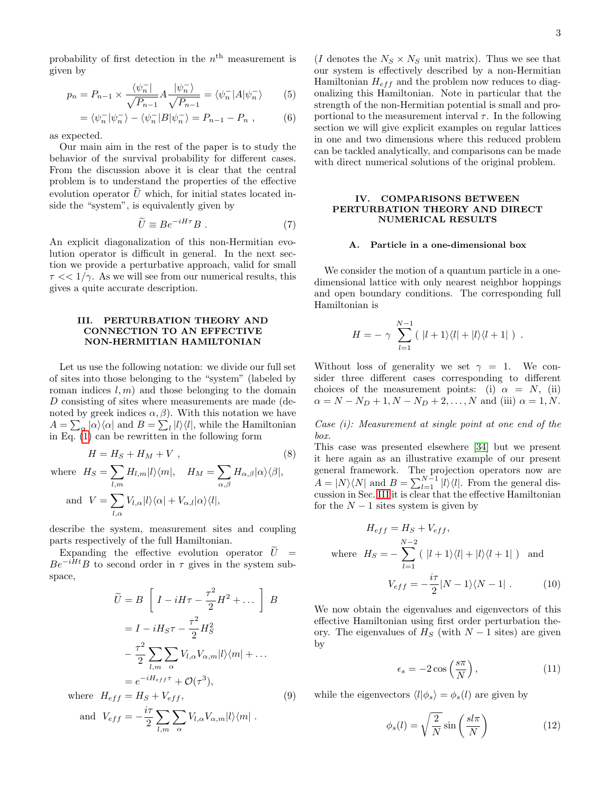probability of first detection in the  $n<sup>th</sup>$  measurement is given by

$$
p_n = P_{n-1} \times \frac{\langle \psi_n^- |}{\sqrt{P_{n-1}}} A \frac{|\psi_n^- \rangle}{\sqrt{P_{n-1}}} = \langle \psi_n^- | A | \psi_n^- \rangle \tag{5}
$$

$$
= \langle \psi_n^- | \psi_n^- \rangle - \langle \psi_n^- | B | \psi_n^- \rangle = P_{n-1} - P_n , \qquad (6)
$$

as expected.

Our main aim in the rest of the paper is to study the behavior of the survival probability for different cases. From the discussion above it is clear that the central problem is to understand the properties of the effective evolution operator  $U$  which, for initial states located inside the "system", is equivalently given by

$$
\widetilde{U} \equiv B e^{-iH\tau} B . \tag{7}
$$

An explicit diagonalization of this non-Hermitian evolution operator is difficult in general. In the next section we provide a perturbative approach, valid for small  $\tau \ll 1/\gamma$ . As we will see from our numerical results, this gives a quite accurate description.

## <span id="page-2-0"></span>III. PERTURBATION THEORY AND CONNECTION TO AN EFFECTIVE NON-HERMITIAN HAMILTONIAN

Let us use the following notation: we divide our full set of sites into those belonging to the "system" (labeled by roman indices  $l, m$  and those belonging to the domain D consisting of sites where measurements are made (denoted by greek indices  $\alpha$ ,  $\beta$ ). With this notation we have  $A = \sum_{\alpha} |\alpha\rangle\langle\alpha|$  and  $B = \sum_{l} |l\rangle\langle l|$ , while the Hamiltonian in Eq. [\(1\)](#page-1-1) can be rewritten in the following form

$$
H = H_S + H_M + V ,
$$
\n(8)

\nwhere  $H_S = \sum_{l,m} H_{l,m} |l\rangle\langle m|, \quad H_M = \sum_{\alpha,\beta} H_{\alpha,\beta} |\alpha\rangle\langle\beta|,$ 

\nand  $V = \sum_{l,\alpha} V_{l,\alpha} |l\rangle\langle\alpha| + V_{\alpha,l} |\alpha\rangle\langle l|,$ 

describe the system, measurement sites and coupling parts respectively of the full Hamiltonian.

Expanding the effective evolution operator  $\tilde{U}$  =  $Be^{-iHt}B$  to second order in  $\tau$  gives in the system subspace,

$$
\widetilde{U} = B \left[ I - iH\tau - \frac{\tau^2}{2} H^2 + \dots \right] B
$$

$$
= I - iH_S\tau - \frac{\tau^2}{2} H_S^2
$$

$$
- \frac{\tau^2}{2} \sum_{l,m} \sum_{\alpha} V_{l,\alpha} V_{\alpha,m} |l\rangle \langle m| + \dots
$$

$$
= e^{-iH_{eff}\tau} + \mathcal{O}(\tau^3),
$$
where  $H_{eff} = H_S + V_{eff}$ , (9)  
and  $V_{eff} = -\frac{i\tau}{2} \sum_{l,m} \sum_{\alpha} V_{l,\alpha} V_{\alpha,m} |l\rangle \langle m|$ .

<span id="page-2-2"></span>(I denotes the  $N_S \times N_S$  unit matrix). Thus we see that our system is effectively described by a non-Hermitian Hamiltonian  $H_{eff}$  and the problem now reduces to diagonalizing this Hamiltonian. Note in particular that the strength of the non-Hermitian potential is small and proportional to the measurement interval  $\tau$ . In the following section we will give explicit examples on regular lattices in one and two dimensions where this reduced problem can be tackled analytically, and comparisons can be made with direct numerical solutions of the original problem.

# <span id="page-2-1"></span>IV. COMPARISONS BETWEEN PERTURBATION THEORY AND DIRECT NUMERICAL RESULTS

### A. Particle in a one-dimensional box

We consider the motion of a quantum particle in a onedimensional lattice with only nearest neighbor hoppings and open boundary conditions. The corresponding full Hamiltonian is

$$
H = -\gamma \sum_{l=1}^{N-1} (|l+1\rangle\langle l| + |l\rangle\langle l+1|) .
$$

Without loss of generality we set  $\gamma = 1$ . We consider three different cases corresponding to different choices of the measurement points: (i)  $\alpha = N$ , (ii)  $\alpha = N - N_D + 1, N - N_D + 2, \dots, N$  and (iii)  $\alpha = 1, N$ .

Case (i): Measurement at single point at one end of the box.

<span id="page-2-3"></span>This case was presented elsewhere [\[34\]](#page-10-1) but we present it here again as an illustrative example of our present general framework. The projection operators now are  $A = |N\rangle\langle N|$  and  $B = \sum_{l=1}^{N-1} |l\rangle\langle l|$ . From the general discussion in Sec. [III](#page-2-0) it is clear that the effective Hamiltonian for the  $N-1$  sites system is given by

$$
H_{eff} = H_S + V_{eff},
$$
  
where  $H_S = -\sum_{l=1}^{N-2} (|l+1\rangle\langle l| + |l\rangle\langle l+1|)$  and  

$$
V_{eff} = -\frac{i\tau}{2}|N-1\rangle\langle N-1|.
$$
 (10)

We now obtain the eigenvalues and eigenvectors of this effective Hamiltonian using first order perturbation theory. The eigenvalues of  $H<sub>S</sub>$  (with  $N-1$  sites) are given by

<span id="page-2-5"></span>
$$
\epsilon_s = -2\cos\left(\frac{s\pi}{N}\right),\tag{11}
$$

<span id="page-2-4"></span>while the eigenvectors  $\langle l|\phi_s \rangle = \phi_s(l)$  are given by

$$
\phi_s(l) = \sqrt{\frac{2}{N}} \sin\left(\frac{sl\pi}{N}\right) \tag{12}
$$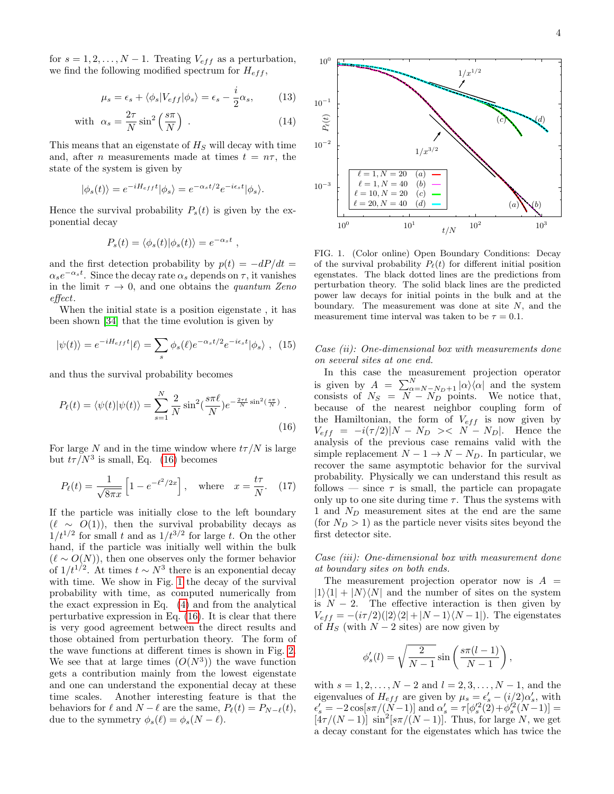for  $s = 1, 2, ..., N - 1$ . Treating  $V_{eff}$  as a perturbation, we find the following modified spectrum for  $H_{eff}$ ,

$$
\mu_s = \epsilon_s + \langle \phi_s | V_{eff} | \phi_s \rangle = \epsilon_s - \frac{i}{2} \alpha_s, \quad (13)
$$

with 
$$
\alpha_s = \frac{2\tau}{N} \sin^2 \left(\frac{s\pi}{N}\right)
$$
. (14)

This means that an eigenstate of  $H<sub>S</sub>$  will decay with time and, after *n* measurements made at times  $t = n\tau$ , the state of the system is given by

$$
|\phi_s(t)\rangle = e^{-iH_{eff}t}|\phi_s\rangle = e^{-\alpha_s t/2}e^{-i\epsilon_s t}|\phi_s\rangle.
$$

Hence the survival probability  $P_s(t)$  is given by the exponential decay

$$
P_s(t) = \langle \phi_s(t) | \phi_s(t) \rangle = e^{-\alpha_s t}
$$

,

and the first detection probability by  $p(t) = -dP/dt$  $\alpha_s e^{-\alpha_s t}$ . Since the decay rate  $\alpha_s$  depends on  $\tau$ , it vanishes in the limit  $\tau \to 0$ , and one obtains the *quantum Zeno* effect.

When the initial state is a position eigenstate , it has been shown [\[34\]](#page-10-1) that the time evolution is given by

<span id="page-3-2"></span>
$$
|\psi(t)\rangle = e^{-iH_{eff}t}|\ell\rangle = \sum_{s} \phi_s(\ell)e^{-\alpha_s t/2}e^{-i\epsilon_s t}|\phi_s\rangle \ , \tag{15}
$$

and thus the survival probability becomes

$$
P_{\ell}(t) = \langle \psi(t) | \psi(t) \rangle = \sum_{s=1}^{N} \frac{2}{N} \sin^2(\frac{s\pi\ell}{N}) e^{-\frac{2\pi t}{N} \sin^2(\frac{s\pi}{N})}.
$$
\n(16)

For large N and in the time window where  $t\tau/N$  is large but  $t\tau/N^3$  is small, Eq. [\(16\)](#page-3-0) becomes

$$
P_{\ell}(t) = \frac{1}{\sqrt{8\pi x}} \left[ 1 - e^{-\ell^2/2x} \right], \quad \text{where} \quad x = \frac{t\tau}{N}. \tag{17}
$$

If the particle was initially close to the left boundary  $(\ell \sim O(1))$ , then the survival probability decays as  $1/t^{1/2}$  for small t and as  $1/t^{3/2}$  for large t. On the other hand, if the particle was initially well within the bulk  $(\ell \sim O(N))$ , then one observes only the former behavior of  $1/t^{1/2}$ . At times  $t \sim N^3$  there is an exponential decay with time. We show in Fig. [1](#page-3-1) the decay of the survival probability with time, as computed numerically from the exact expression in Eq. [\(4\)](#page-1-2) and from the analytical perturbative expression in Eq. [\(16\)](#page-3-0). It is clear that there is very good agreement between the direct results and those obtained from perturbation theory. The form of the wave functions at different times is shown in Fig. [2.](#page-4-0) We see that at large times  $(O(N^3))$  the wave function gets a contribution mainly from the lowest eigenstate and one can understand the exponential decay at these time scales. Another interesting feature is that the behaviors for  $\ell$  and  $N - \ell$  are the same,  $P_{\ell}(t) = P_{N-\ell}(t)$ , due to the symmetry  $\phi_s(\ell) = \phi_s(N - \ell)$ .



<span id="page-3-1"></span>FIG. 1. (Color online) Open Boundary Conditions: Decay of the survival probability  $P_{\ell}(t)$  for different initial position egenstates. The black dotted lines are the predictions from perturbation theory. The solid black lines are the predicted power law decays for initial points in the bulk and at the boundary. The measurement was done at site N, and the measurement time interval was taken to be  $\tau = 0.1$ .

Case (ii): One-dimensional box with measurements done on several sites at one end.

<span id="page-3-0"></span>In this case the measurement projection operator is given by  $A = \sum_{\alpha=N-N_D+1}^{N} |\alpha\rangle\langle\alpha|$  and the system consists of  $N_S = N - N_D$  points. We notice that, because of the nearest neighbor coupling form of the Hamiltonian, the form of  $V_{eff}$  is now given by  $V_{eff}$  =  $-i(\tau/2)|N - N_D$  ><  $N - N_D$ . Hence the analysis of the previous case remains valid with the simple replacement  $N - 1 \rightarrow N - N_D$ . In particular, we recover the same asymptotic behavior for the survival probability. Physically we can understand this result as follows — since  $\tau$  is small, the particle can propagate only up to one site during time  $\tau$ . Thus the systems with 1 and  $N_D$  measurement sites at the end are the same (for  $N_D > 1$ ) as the particle never visits sites beyond the first detector site.

Case (iii): One-dimensional box with measurement done at boundary sites on both ends.

The measurement projection operator now is  $A =$  $|1\rangle\langle 1| + |N\rangle\langle N|$  and the number of sites on the system is  $N - 2$ . The effective interaction is then given by  $V_{eff} = -(i\tau/2)(|2\rangle\langle2|+|N-1\rangle\langle N-1|).$  The eigenstates of  $H<sub>S</sub>$  (with  $N-2$  sites) are now given by

$$
\phi_s'(l) = \sqrt{\frac{2}{N-1}} \sin\left(\frac{s\pi(l-1)}{N-1}\right)
$$

,

with  $s = 1, 2, ..., N - 2$  and  $l = 2, 3, ..., N - 1$ , and the eigenvalues of  $H_{eff}$  are given by  $\mu_s = \epsilon'_s - (i/2)\alpha'_s$ , with  $\epsilon'_{s} = -2\cos[s\pi/(\tilde{N}-1)]$  and  $\alpha'_{s} = \tau[\phi_{s}'^{2}(2)+\phi_{s}'^{2}(N-1)] =$  $\left[4\tau/(N-1)\right] \sin^2[s\pi/(N-1)]$ . Thus, for large N, we get a decay constant for the eigenstates which has twice the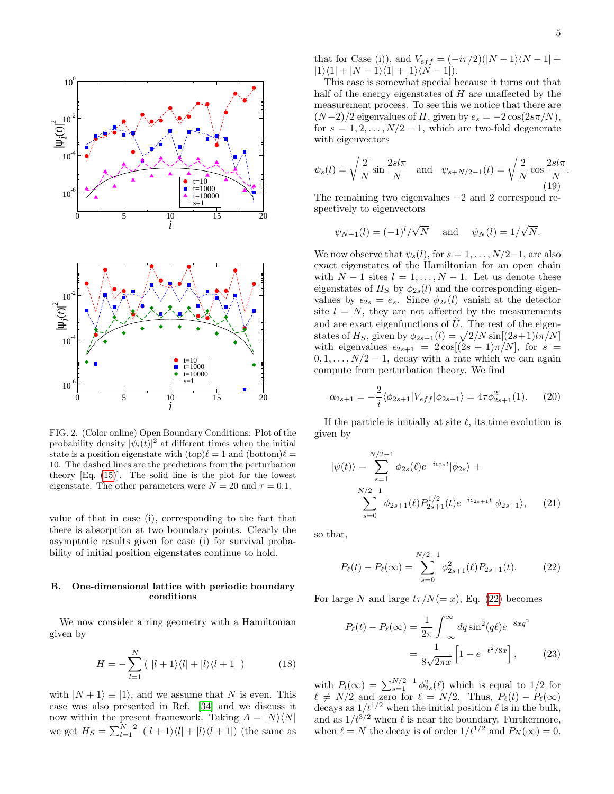

<span id="page-4-0"></span>FIG. 2. (Color online) Open Boundary Conditions: Plot of the probability density  $|\psi_i(t)|^2$  at different times when the initial state is a position eigenstate with  $(top)\ell = 1$  and  $(bottom)\ell =$ 10. The dashed lines are the predictions from the perturbation theory [Eq. [\(15\)](#page-3-2)]. The solid line is the plot for the lowest eigenstate. The other parameters were  $N = 20$  and  $\tau = 0.1$ .

value of that in case (i), corresponding to the fact that there is absorption at two boundary points. Clearly the asymptotic results given for case (i) for survival probability of initial position eigenstates continue to hold.

## B. One-dimensional lattice with periodic boundary conditions

We now consider a ring geometry with a Hamiltonian given by

$$
H = -\sum_{l=1}^{N} (|l+1\rangle\langle l| + |l\rangle\langle l+1|)
$$
 (18)

with  $|N + 1\rangle \equiv |1\rangle$ , and we assume that N is even. This case was also presented in Ref. [\[34\]](#page-10-1) and we discuss it now within the present framework. Taking  $A = |N\rangle\langle N|$ we get  $H_S = \sum_{l=1}^{N-2} (|l+1\rangle\langle l| + |l\rangle\langle l+1|)$  (the same as

.

that for Case (i)), and  $V_{eff} = (-i\tau/2)(|N - 1\rangle\langle N - 1| +$  $|1\rangle\langle 1| + |N - 1\rangle\langle 1| + |1\rangle\langle N - 1|$ .

This case is somewhat special because it turns out that half of the energy eigenstates of  $H$  are unaffected by the measurement process. To see this we notice that there are  $(N-2)/2$  eigenvalues of H, given by  $e_s = -2\cos(2s\pi/N)$ , for  $s = 1, 2, \ldots, N/2 - 1$ , which are two-fold degenerate with eigenvectors

$$
\psi_s(l) = \sqrt{\frac{2}{N}} \sin \frac{2sl\pi}{N} \quad \text{and} \quad \psi_{s+N/2-1}(l) = \sqrt{\frac{2}{N}} \cos \frac{2sl\pi}{N}
$$
\n(19)

The remaining two eigenvalues −2 and 2 correspond respectively to eigenvectors

$$
\psi_{N-1}(l) = (-1)^l / \sqrt{N}
$$
 and  $\psi_N(l) = 1 / \sqrt{N}$ .

We now observe that  $\psi_s(l)$ , for  $s = 1, \ldots, N/2-1$ , are also exact eigenstates of the Hamiltonian for an open chain with  $N-1$  sites  $l = 1, ..., N-1$ . Let us denote these eigenstates of  $H_S$  by  $\phi_{2s}(l)$  and the corresponding eigenvalues by  $\epsilon_{2s} = e_s$ . Since  $\phi_{2s}(l)$  vanish at the detector site  $l = N$ , they are not affected by the measurements and are exact eigenfunctions of  $U$ . The rest of the eigenstates of  $H_S$ , given by  $\phi_{2s+1}(l) = \sqrt{2/N} \sin[(2s+1)l\pi/N]$ with eigenvalues  $\epsilon_{2s+1} = 2 \cos[(2s+1)\pi/N]$ , for  $s =$  $0, 1, \ldots, N/2 - 1$ , decay with a rate which we can again compute from perturbation theory. We find

$$
\alpha_{2s+1} = -\frac{2}{i} \langle \phi_{2s+1} | V_{eff} | \phi_{2s+1} \rangle = 4\tau \phi_{2s+1}^2(1). \tag{20}
$$

If the particle is initially at site  $\ell$ , its time evolution is given by

$$
|\psi(t)\rangle = \sum_{s=1}^{N/2-1} \phi_{2s}(\ell) e^{-i\epsilon_{2s}t} |\phi_{2s}\rangle + \sum_{s=0}^{N/2-1} \phi_{2s+1}(\ell) P_{2s+1}^{1/2}(t) e^{-i\epsilon_{2s+1}t} |\phi_{2s+1}\rangle, \qquad (21)
$$

so that,

<span id="page-4-2"></span><span id="page-4-1"></span>
$$
P_{\ell}(t) - P_{\ell}(\infty) = \sum_{s=0}^{N/2-1} \phi_{2s+1}^2(\ell) P_{2s+1}(t). \tag{22}
$$

For large N and large  $t\tau/N (= x)$ , Eq. [\(22\)](#page-4-1) becomes

$$
P_{\ell}(t) - P_{\ell}(\infty) = \frac{1}{2\pi} \int_{-\infty}^{\infty} dq \sin^{2}(q\ell) e^{-8xq^{2}}
$$

$$
= \frac{1}{8\sqrt{2\pi x}} \left[ 1 - e^{-\ell^{2}/8x} \right], \qquad (23)
$$

with  $P_l(\infty) = \sum_{s=1}^{N/2-1} \phi_{2s}^2(\ell)$  which is equal to 1/2 for  $\ell \neq N/2$  and zero for  $\ell = N/2$ . Thus,  $P_{\ell}(t) - P_{\ell}(\infty)$ decays as  $1/t^{1/2}$  when the initial position  $\ell$  is in the bulk, and as  $1/t^{3/2}$  when  $\ell$  is near the boundary. Furthermore, when  $\ell = N$  the decay is of order  $1/t^{1/2}$  and  $P_N(\infty) = 0$ .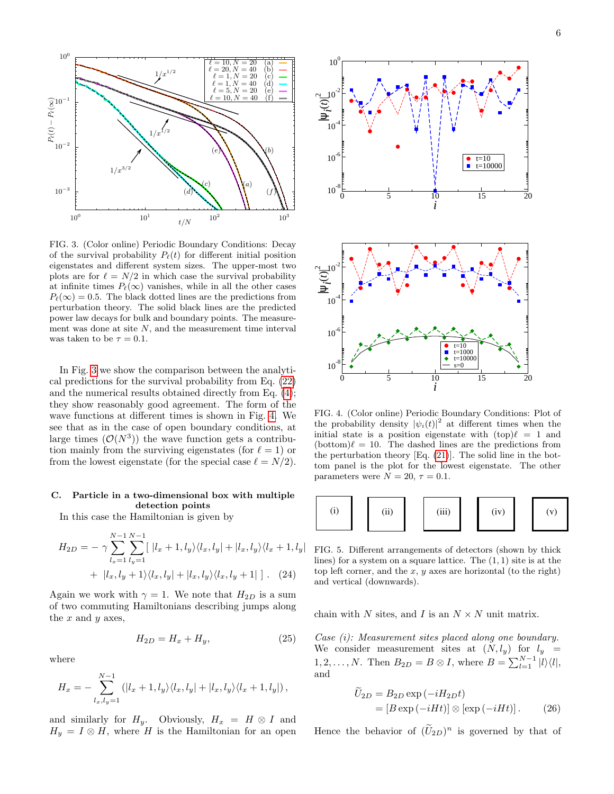

<span id="page-5-0"></span>FIG. 3. (Color online) Periodic Boundary Conditions: Decay of the survival probability  $P_{\ell}(t)$  for different initial position eigenstates and different system sizes. The upper-most two plots are for  $\ell = N/2$  in which case the survival probability at infinite times  $P_{\ell}(\infty)$  vanishes, while in all the other cases  $P_{\ell}(\infty) = 0.5$ . The black dotted lines are the predictions from perturbation theory. The solid black lines are the predicted power law decays for bulk and boundary points. The measurement was done at site  $N$ , and the measurement time interval was taken to be  $\tau = 0.1$ .

In Fig. [3](#page-5-0) we show the comparison between the analytical predictions for the survival probability from Eq. [\(22\)](#page-4-1) and the numerical results obtained directly from Eq. [\(4\)](#page-1-2); they show reasonably good agreement. The form of the wave functions at different times is shown in Fig. [4.](#page-5-1) We see that as in the case of open boundary conditions, at large times  $(\mathcal{O}(N^3))$  the wave function gets a contribution mainly from the surviving eigenstates (for  $\ell = 1$ ) or from the lowest eigenstate (for the special case  $\ell = N/2$ ).

# C. Particle in a two-dimensional box with multiple detection points

In this case the Hamiltonian is given by

$$
H_{2D} = -\gamma \sum_{l_x=1}^{N-1} \sum_{l_y=1}^{N-1} [|l_x+1, l_y\rangle\langle l_x, l_y| + |l_x, l_y\rangle\langle l_x+1, l_y|
$$
  
+  $|l_x, l_y+1\rangle\langle l_x, l_y| + |l_x, l_y\rangle\langle l_x, l_y+1|]$ . (24)

Again we work with  $\gamma = 1$ . We note that  $H_{2D}$  is a sum of two commuting Hamiltonians describing jumps along the  $x$  and  $y$  axes,

$$
H_{2D} = H_x + H_y,\t\t(25)
$$

where

$$
H_x = -\sum_{l_x,l_y=1}^{N-1} (|l_x+1,l_y\rangle\langle l_x,l_y| + |l_x,l_y\rangle\langle l_x+1,l_y|),
$$

and similarly for  $H_y$ . Obviously,  $H_x = H \otimes I$  and



<span id="page-5-1"></span>FIG. 4. (Color online) Periodic Boundary Conditions: Plot of the probability density  $|\psi_i(t)|^2$  at different times when the initial state is a position eigenstate with  $(top)\ell = 1$  and  $(\text{bottom})\ell = 10$ . The dashed lines are the predictions from the perturbation theory [Eq. [\(21\)](#page-4-2)]. The solid line in the bottom panel is the plot for the lowest eigenstate. The other parameters were  $N = 20$ ,  $\tau = 0.1$ .



<span id="page-5-2"></span>FIG. 5. Different arrangements of detectors (shown by thick lines) for a system on a square lattice. The  $(1, 1)$  site is at the top left corner, and the  $x, y$  axes are horizontal (to the right) and vertical (downwards).

chain with N sites, and I is an  $N \times N$  unit matrix.

Case (i): Measurement sites placed along one boundary. We consider measurement sites at  $(N, l_y)$  for  $l_y =$ 1, 2, ..., N. Then  $B_{2D} = B \otimes I$ , where  $B = \sum_{l=1}^{N-1} |l\rangle\langle l|$ , and

$$
U_{2D} = B_{2D} \exp(-iH_{2D}t)
$$
  
=  $[B \exp(-iHt)] \otimes [\exp(-iHt)].$  (26)

Hence the behavior of  $(\tilde{U}_{2D})^n$  is governed by that of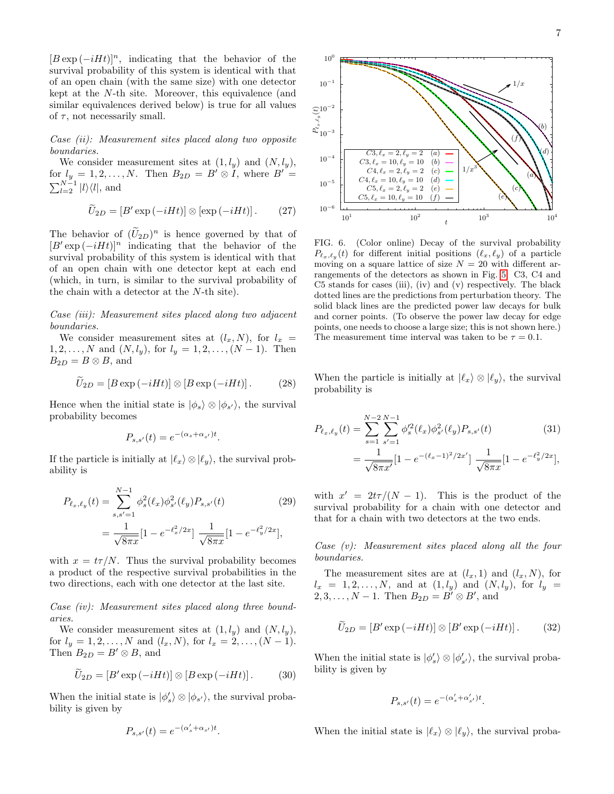$[B \exp(-iHt)]^n$ , indicating that the behavior of the survival probability of this system is identical with that of an open chain (with the same size) with one detector kept at the N-th site. Moreover, this equivalence (and similar equivalences derived below) is true for all values of  $\tau$ , not necessarily small.

Case (ii): Measurement sites placed along two opposite boundaries.

We consider measurement sites at  $(1, l_y)$  and  $(N, l_y)$ , for  $l_y = 1, 2, \ldots, N$ . Then  $B_{2D} = B' \otimes I$ , where  $B' =$  $\sum_{l=2}^{N-1} |l\rangle\langle l|$ , and

$$
\widetilde{U}_{2D} = [B' \exp(-iHt)] \otimes [\exp(-iHt)]. \qquad (27)
$$

The behavior of  $(\tilde{U}_{2D})^n$  is hence governed by that of  $[B' \exp(-iHt)]^n$  indicating that the behavior of the survival probability of this system is identical with that of an open chain with one detector kept at each end (which, in turn, is similar to the survival probability of the chain with a detector at the N-th site).

Case (iii): Measurement sites placed along two adjacent boundaries.

We consider measurement sites at  $(l_x, N)$ , for  $l_x$  $1, 2, \ldots, N$  and  $(N, l_y)$ , for  $l_y = 1, 2, \ldots, (N - 1)$ . Then  $B_{2D} = B \otimes B$ , and

$$
\widetilde{U}_{2D} = [B \exp(-iHt)] \otimes [B \exp(-iHt)]. \tag{28}
$$

Hence when the initial state is  $|\phi_s\rangle \otimes |\phi_{s'}\rangle$ , the survival probability becomes

$$
P_{s,s'}(t) = e^{-(\alpha_s + \alpha_{s'})t}.
$$

If the particle is initially at  $|\ell_x\rangle \otimes |\ell_y\rangle$ , the survival probability is

$$
P_{\ell_x,\ell_y}(t) = \sum_{s,s'=1}^{N-1} \phi_s^2(\ell_x) \phi_{s'}^2(\ell_y) P_{s,s'}(t)
$$
\n
$$
= \frac{1}{\sqrt{8\pi x}} [1 - e^{-\ell_x^2/2x}] \frac{1}{\sqrt{8\pi x}} [1 - e^{-\ell_y^2/2x}],
$$
\n(29)

with  $x = t\tau/N$ . Thus the survival probability becomes a product of the respective survival probabilities in the two directions, each with one detector at the last site.

Case (iv): Measurement sites placed along three boundaries.

We consider measurement sites at  $(1, l_y)$  and  $(N, l_y)$ , for  $l_y = 1, 2, ..., N$  and  $(l_x, N)$ , for  $l_x = 2, ..., (N - 1)$ . Then  $B_{2D} = B' \otimes B$ , and

$$
\widetilde{U}_{2D} = [B' \exp(-iHt)] \otimes [B \exp(-iHt)]. \tag{30}
$$

When the initial state is  $|\phi_s' \rangle \otimes |\phi_{s'} \rangle$ , the survival probability is given by

$$
P_{s,s'}(t) = e^{-(\alpha'_s + \alpha_{s'})t}.
$$



<span id="page-6-0"></span>FIG. 6. (Color online) Decay of the survival probability  $P_{\ell_x,\ell_y}(t)$  for different initial positions  $(\ell_x, \ell_y)$  of a particle moving on a square lattice of size  $N = 20$  with different arrangements of the detectors as shown in Fig. [5.](#page-5-2) C3, C4 and C5 stands for cases (iii), (iv) and (v) respectively. The black dotted lines are the predictions from perturbation theory. The solid black lines are the predicted power law decays for bulk and corner points. (To observe the power law decay for edge points, one needs to choose a large size; this is not shown here.) The measurement time interval was taken to be  $\tau = 0.1$ .

When the particle is initially at  $|\ell_x\rangle \otimes |\ell_y\rangle$ , the survival probability is

<span id="page-6-2"></span>
$$
P_{\ell_x,\ell_y}(t) = \sum_{s=1}^{N-2} \sum_{s'=1}^{N-1} \phi_s^{\prime 2}(\ell_x) \phi_{s'}^2(\ell_y) P_{s,s'}(t)
$$
 (31)  

$$
= \frac{1}{\sqrt{8\pi x'}} [1 - e^{-(\ell_x - 1)^2/2x'}] \frac{1}{\sqrt{8\pi x}} [1 - e^{-\ell_y^2/2x}],
$$

<span id="page-6-1"></span>with  $x' = 2t\tau/(N-1)$ . This is the product of the survival probability for a chain with one detector and that for a chain with two detectors at the two ends.

Case (v): Measurement sites placed along all the four boundaries.

The measurement sites are at  $(l_x, 1)$  and  $(l_x, N)$ , for  $l_x = 1, 2, ..., N$ , and at  $(1, l_y)$  and  $(N, l_y)$ , for  $l_y =$  $2, 3, \ldots, N-1$ . Then  $B_{2D} = B' \otimes B'$ , and

$$
\widetilde{U}_{2D} = [B' \exp(-iHt)] \otimes [B' \exp(-iHt)]. \tag{32}
$$

When the initial state is  $|\phi_s'\rangle \otimes |\phi_{s'}'\rangle$ , the survival probability is given by

$$
P_{s,s'}(t) = e^{-(\alpha'_s + \alpha'_{s'})t}.
$$

When the initial state is  $|\ell_x\rangle \otimes |\ell_y\rangle$ , the survival proba-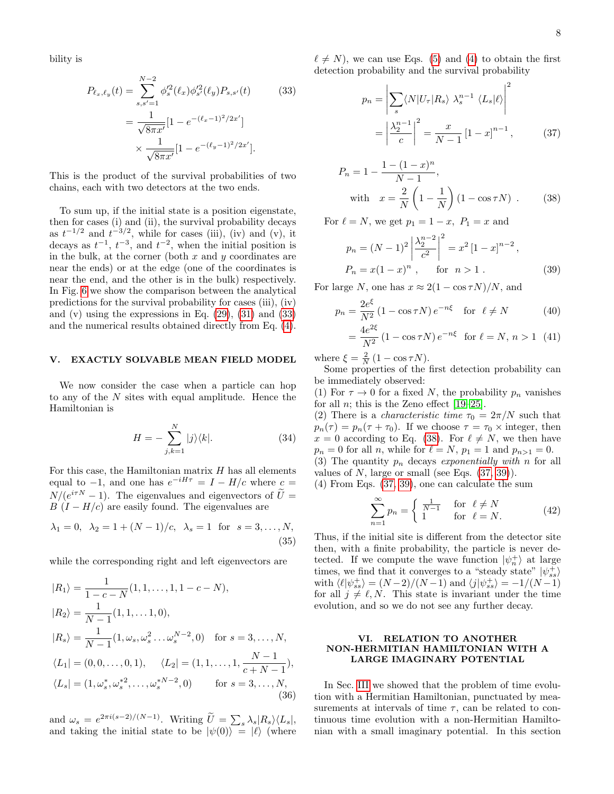bility is

$$
P_{\ell_x,\ell_y}(t) = \sum_{s,s'=1}^{N-2} \phi_s'^2(\ell_x) \phi_{s'}'^2(\ell_y) P_{s,s'}(t)
$$
(33)  

$$
= \frac{1}{\sqrt{8\pi x'}} [1 - e^{-(\ell_x - 1)^2/2x'}]
$$

$$
\times \frac{1}{\sqrt{8\pi x'}} [1 - e^{-(\ell_y - 1)^2/2x'}].
$$

This is the product of the survival probabilities of two chains, each with two detectors at the two ends.

To sum up, if the initial state is a position eigenstate, then for cases (i) and (ii), the survival probability decays as  $t^{-1/2}$  and  $t^{-3/2}$ , while for cases (iii), (iv) and (v), it decays as  $t^{-1}$ ,  $t^{-3}$ , and  $t^{-2}$ , when the initial position is in the bulk, at the corner (both  $x$  and  $y$  coordinates are near the ends) or at the edge (one of the coordinates is near the end, and the other is in the bulk) respectively. In Fig. [6](#page-6-0) we show the comparison between the analytical predictions for the survival probability for cases (iii), (iv) and  $(v)$  using the expressions in Eq.  $(29)$ ,  $(31)$  and  $(33)$ and the numerical results obtained directly from Eq. [\(4\)](#page-1-2).

### <span id="page-7-0"></span>V. EXACTLY SOLVABLE MEAN FIELD MODEL

We now consider the case when a particle can hop to any of the  $N$  sites with equal amplitude. Hence the Hamiltonian is

$$
H = -\sum_{j,k=1}^{N} |j\rangle\langle k|.
$$
 (34)

For this case, the Hamiltonian matrix  $H$  has all elements equal to  $-1$ , and one has  $e^{-iH\tau} = I - H/c$  where  $c =$  $N/(e^{i\tau N}-1)$ . The eigenvalues and eigenvectors of  $\tilde{U} =$  $B(I - H/c)$  are easily found. The eigenvalues are

$$
\lambda_1 = 0, \ \lambda_2 = 1 + (N - 1)/c, \ \lambda_s = 1 \text{ for } s = 3, ..., N,
$$
\n(35)

while the corresponding right and left eigenvectors are

$$
|R_1\rangle = \frac{1}{1 - c - N}(1, 1, \dots, 1, 1 - c - N),
$$
  
\n
$$
|R_2\rangle = \frac{1}{N - 1}(1, 1, \dots, 1, 0),
$$
  
\n
$$
|R_s\rangle = \frac{1}{N - 1}(1, \omega_s, \omega_s^2 \dots \omega_s^{N - 2}, 0) \text{ for } s = 3, \dots, N,
$$
  
\n
$$
\langle L_1 | = (0, 0, \dots, 0, 1), \quad \langle L_2 | = (1, 1, \dots, 1, \frac{N - 1}{c + N - 1}),
$$
  
\n
$$
\langle L_s | = (1, \omega_s^*, \omega_s^{*2}, \dots, \omega_s^{*N - 2}, 0) \text{ for } s = 3, \dots, N,
$$
  
\n(36)

and  $\omega_s = e^{2\pi i (s-2)/(N-1)}$ . Writing  $\tilde{U} = \sum_s \lambda_s |R_s\rangle \langle L_s|,$ and taking the initial state to be  $|\psi(0)\rangle = |\ell\rangle$  (where <span id="page-7-2"></span> $\ell \neq N$ , we can use Eqs. [\(5\)](#page-2-2) and [\(4\)](#page-1-2) to obtain the first detection probability and the survival probability

<span id="page-7-4"></span>
$$
p_n = \left| \sum_s \langle N | U_\tau | R_s \rangle \ \lambda_s^{n-1} \ \langle L_s | \ell \rangle \right|^2
$$

$$
= \left| \frac{\lambda_2^{n-1}}{c} \right|^2 = \frac{x}{N-1} \left[ 1 - x \right]^{n-1}, \tag{37}
$$

$$
P_n = 1 - \frac{1 - (1 - x)^n}{N - 1},
$$
  
with  $x = \frac{2}{N} \left( 1 - \frac{1}{N} \right) (1 - \cos \tau N)$ . (38)

For  $\ell = N$ , we get  $p_1 = 1 - x$ ,  $P_1 = x$  and

<span id="page-7-5"></span><span id="page-7-3"></span>
$$
p_n = (N-1)^2 \left| \frac{\lambda_2^{n-2}}{c^2} \right|^2 = x^2 [1-x]^{n-2},
$$
  
\n
$$
P_n = x(1-x)^n, \quad \text{for } n > 1.
$$
 (39)

For large N, one has  $x \approx 2(1 - \cos \tau N)/N$ , and

$$
p_n = \frac{2e^{\xi}}{N^2} \left(1 - \cos \tau N\right) e^{-n\xi} \quad \text{for} \quad \ell \neq N \tag{40}
$$

$$
= \frac{4e^{2\xi}}{N^2} (1 - \cos \tau N) e^{-n\xi} \text{ for } \ell = N, n > 1 \tag{41}
$$

where  $\xi = \frac{2}{N} (1 - \cos \tau N)$ .

Some properties of the first detection probability can be immediately observed:

(1) For  $\tau \to 0$  for a fixed N, the probability  $p_n$  vanishes for all *n*; this is the Zeno effect  $[19-25]$  $[19-25]$ .

(2) There is a *characteristic time*  $\tau_0 = 2\pi/N$  such that  $p_n(\tau) = p_n(\tau + \tau_0)$ . If we choose  $\tau = \tau_0 \times \text{integer}$ , then  $x = 0$  according to Eq. [\(38\)](#page-7-3). For  $\ell \neq N$ , we then have  $p_n = 0$  for all n, while for  $\ell = N$ ,  $p_1 = 1$  and  $p_{n>1} = 0$ . (3) The quantity  $p_n$  decays exponentially with n for all values of  $N$ , large or small (see Eqs.  $(37, 39)$  $(37, 39)$ ).

(4) From Eqs. [\(37,](#page-7-4) [39\)](#page-7-5), one can calculate the sum

$$
\sum_{n=1}^{\infty} p_n = \begin{cases} \frac{1}{N-1} & \text{for } \ell \neq N \\ 1 & \text{for } \ell = N. \end{cases}
$$
 (42)

Thus, if the initial site is different from the detector site then, with a finite probability, the particle is never detected. If we compute the wave function  $|\psi_n^+\rangle$  at large times, we find that it converges to a "steady state"  $|\psi_{ss}^{+}\rangle$ with  $\langle \ell | \psi_{ss}^+ \rangle = (N-2)/(N-1)$  and  $\langle j | \psi_{ss}^+ \rangle = -1/(N-1)$ for all  $j \neq \ell, N$ . This state is invariant under the time evolution, and so we do not see any further decay.

# <span id="page-7-1"></span>VI. RELATION TO ANOTHER NON-HERMITIAN HAMILTONIAN WITH A LARGE IMAGINARY POTENTIAL

In Sec. [III](#page-2-0) we showed that the problem of time evolution with a Hermitian Hamiltonian, punctuated by measurements at intervals of time  $\tau$ , can be related to continuous time evolution with a non-Hermitian Hamiltonian with a small imaginary potential. In this section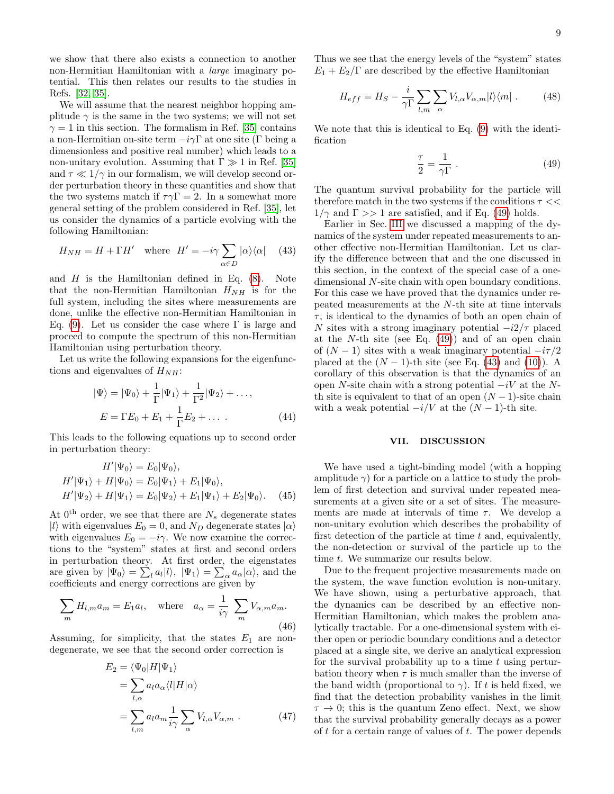we show that there also exists a connection to another non-Hermitian Hamiltonian with a large imaginary potential. This then relates our results to the studies in Refs. [\[32,](#page-10-2) [35\]](#page-10-3).

We will assume that the nearest neighbor hopping amplitude  $\gamma$  is the same in the two systems; we will not set  $\gamma = 1$  in this section. The formalism in Ref. [\[35\]](#page-10-3) contains a non-Hermitian on-site term  $-i\gamma\Gamma$  at one site (Γ being a dimensionless and positive real number) which leads to a non-unitary evolution. Assuming that  $\Gamma \gg 1$  in Ref. [\[35\]](#page-10-3) and  $\tau \ll 1/\gamma$  in our formalism, we will develop second order perturbation theory in these quantities and show that the two systems match if  $\tau \gamma \Gamma = 2$ . In a somewhat more general setting of the problem considered in Ref. [\[35\]](#page-10-3), let us consider the dynamics of a particle evolving with the following Hamiltonian:

$$
H_{NH} = H + \Gamma H' \quad \text{where} \quad H' = -i\gamma \sum_{\alpha \in D} |\alpha\rangle\langle\alpha| \quad (43)
$$

and  $H$  is the Hamiltonian defined in Eq.  $(8)$ . Note that the non-Hermitian Hamiltonian  $H_{NH}$  is for the full system, including the sites where measurements are done, unlike the effective non-Hermitian Hamiltonian in Eq. [\(9\)](#page-2-4). Let us consider the case where  $\Gamma$  is large and proceed to compute the spectrum of this non-Hermitian Hamiltonian using perturbation theory.

Let us write the following expansions for the eigenfunctions and eigenvalues of  $H_{NH}$ :

$$
|\Psi\rangle = |\Psi_0\rangle + \frac{1}{\Gamma}|\Psi_1\rangle + \frac{1}{\Gamma^2}|\Psi_2\rangle + ...,
$$
  

$$
E = \Gamma E_0 + E_1 + \frac{1}{\Gamma}E_2 + ....
$$
 (44)

This leads to the following equations up to second order in perturbation theory:

$$
H'|\Psi_0\rangle = E_0|\Psi_0\rangle,
$$
  
\n
$$
H'|\Psi_1\rangle + H|\Psi_0\rangle = E_0|\Psi_1\rangle + E_1|\Psi_0\rangle,
$$
  
\n
$$
H'|\Psi_2\rangle + H|\Psi_1\rangle = E_0|\Psi_2\rangle + E_1|\Psi_1\rangle + E_2|\Psi_0\rangle.
$$
 (45)

At  $0^{\text{th}}$  order, we see that there are  $N_s$  degenerate states |l| with eigenvalues  $E_0 = 0$ , and  $N_D$  degenerate states  $|\alpha\rangle$ with eigenvalues  $E_0 = -i\gamma$ . We now examine the corrections to the "system" states at first and second orders in perturbation theory. At first order, the eigenstates are given by  $|\Psi_0\rangle = \sum_l a_l |l\rangle, \ |\Psi_1\rangle = \sum_{\alpha} a_{\alpha} |\alpha\rangle$ , and the coefficients and energy corrections are given by

$$
\sum_{m} H_{l,m} a_m = E_1 a_l, \quad \text{where} \quad a_\alpha = \frac{1}{i\gamma} \sum_{m} V_{\alpha,m} a_m.
$$
\n(46)

Assuming, for simplicity, that the states  $E_1$  are nondegenerate, we see that the second order correction is

$$
E_2 = \langle \Psi_0 | H | \Psi_1 \rangle
$$
  
= 
$$
\sum_{l,\alpha} a_l a_\alpha \langle l | H | \alpha \rangle
$$
  
= 
$$
\sum_{l,m} a_l a_m \frac{1}{i\gamma} \sum_{\alpha} V_{l,\alpha} V_{\alpha,m} .
$$
 (47)

Thus we see that the energy levels of the "system" states  $E_1 + E_2/\Gamma$  are described by the effective Hamiltonian

$$
H_{eff} = H_S - \frac{i}{\gamma \Gamma} \sum_{l,m} \sum_{\alpha} V_{l,\alpha} V_{\alpha,m} |l\rangle\langle m| \ . \tag{48}
$$

We note that this is identical to Eq. [\(9\)](#page-2-4) with the identification

<span id="page-8-1"></span>
$$
\frac{\tau}{2} = \frac{1}{\gamma \Gamma} \tag{49}
$$

The quantum survival probability for the particle will therefore match in the two systems if the conditions  $\tau \ll$  $1/\gamma$  and  $\Gamma >> 1$  are satisfied, and if Eq. [\(49\)](#page-8-1) holds.

<span id="page-8-2"></span>Earlier in Sec. [III](#page-2-0) we discussed a mapping of the dynamics of the system under repeated measurements to another effective non-Hermitian Hamiltonian. Let us clarify the difference between that and the one discussed in this section, in the context of the special case of a onedimensional N-site chain with open boundary conditions. For this case we have proved that the dynamics under repeated measurements at the N-th site at time intervals  $\tau$ , is identical to the dynamics of both an open chain of N sites with a strong imaginary potential  $-i2/\tau$  placed at the  $N$ -th site (see Eq.  $(49)$ ) and of an open chain of  $(N-1)$  sites with a weak imaginary potential  $-i\tau/2$ placed at the  $(N-1)$ -th site (see Eq. [\(43\)](#page-8-2) and [\(10\)](#page-2-5)). A corollary of this observation is that the dynamics of an open N-site chain with a strong potential  $-iV$  at the Nth site is equivalent to that of an open  $(N-1)$ -site chain with a weak potential  $-i/V$  at the  $(N-1)$ -th site.

# <span id="page-8-0"></span>VII. DISCUSSION

We have used a tight-binding model (with a hopping amplitude  $\gamma$ ) for a particle on a lattice to study the problem of first detection and survival under repeated measurements at a given site or a set of sites. The measurements are made at intervals of time  $\tau$ . We develop a non-unitary evolution which describes the probability of first detection of the particle at time  $t$  and, equivalently, the non-detection or survival of the particle up to the time t. We summarize our results below.

Due to the frequent projective measurements made on the system, the wave function evolution is non-unitary. We have shown, using a perturbative approach, that the dynamics can be described by an effective non-Hermitian Hamiltonian, which makes the problem analytically tractable. For a one-dimensional system with either open or periodic boundary conditions and a detector placed at a single site, we derive an analytical expression for the survival probability up to a time  $t$  using perturbation theory when  $\tau$  is much smaller than the inverse of the band width (proportional to  $\gamma$ ). If t is held fixed, we find that the detection probability vanishes in the limit  $\tau \to 0$ ; this is the quantum Zeno effect. Next, we show that the survival probability generally decays as a power of  $t$  for a certain range of values of  $t$ . The power depends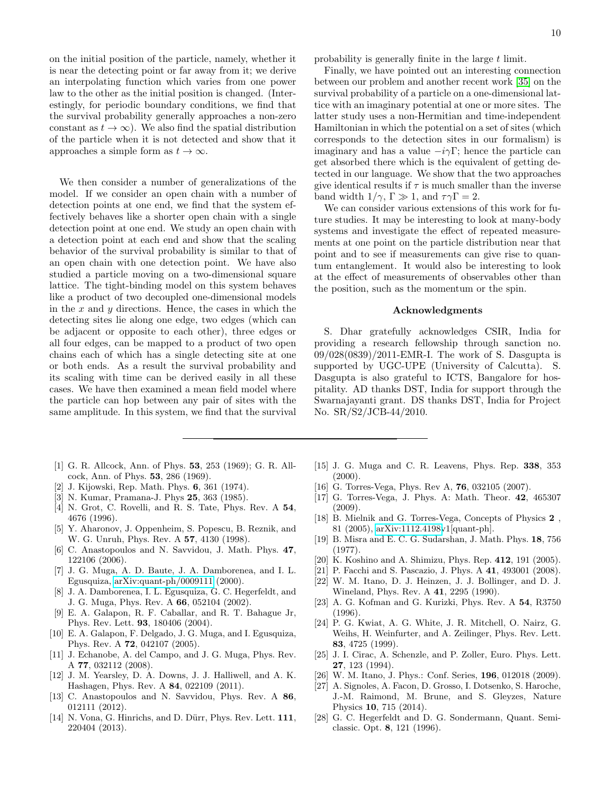on the initial position of the particle, namely, whether it is near the detecting point or far away from it; we derive an interpolating function which varies from one power law to the other as the initial position is changed. (Interestingly, for periodic boundary conditions, we find that the survival probability generally approaches a non-zero constant as  $t \to \infty$ ). We also find the spatial distribution of the particle when it is not detected and show that it approaches a simple form as  $t \to \infty$ .

We then consider a number of generalizations of the model. If we consider an open chain with a number of detection points at one end, we find that the system effectively behaves like a shorter open chain with a single detection point at one end. We study an open chain with a detection point at each end and show that the scaling behavior of the survival probability is similar to that of an open chain with one detection point. We have also studied a particle moving on a two-dimensional square lattice. The tight-binding model on this system behaves like a product of two decoupled one-dimensional models in the  $x$  and  $y$  directions. Hence, the cases in which the detecting sites lie along one edge, two edges (which can be adjacent or opposite to each other), three edges or all four edges, can be mapped to a product of two open chains each of which has a single detecting site at one or both ends. As a result the survival probability and its scaling with time can be derived easily in all these cases. We have then examined a mean field model where the particle can hop between any pair of sites with the same amplitude. In this system, we find that the survival

probability is generally finite in the large t limit.

Finally, we have pointed out an interesting connection between our problem and another recent work [\[35\]](#page-10-3) on the survival probability of a particle on a one-dimensional lattice with an imaginary potential at one or more sites. The latter study uses a non-Hermitian and time-independent Hamiltonian in which the potential on a set of sites (which corresponds to the detection sites in our formalism) is imaginary and has a value  $-i\gamma\Gamma$ ; hence the particle can get absorbed there which is the equivalent of getting detected in our language. We show that the two approaches give identical results if  $\tau$  is much smaller than the inverse band width  $1/\gamma$ ,  $\Gamma \gg 1$ , and  $\tau \gamma \Gamma = 2$ .

We can consider various extensions of this work for future studies. It may be interesting to look at many-body systems and investigate the effect of repeated measurements at one point on the particle distribution near that point and to see if measurements can give rise to quantum entanglement. It would also be interesting to look at the effect of measurements of observables other than the position, such as the momentum or the spin.

### Acknowledgments

S. Dhar gratefully acknowledges CSIR, India for providing a research fellowship through sanction no. 09/028(0839)/2011-EMR-I. The work of S. Dasgupta is supported by UGC-UPE (University of Calcutta). S. Dasgupta is also grateful to ICTS, Bangalore for hospitality. AD thanks DST, India for support through the Swarnajayanti grant. DS thanks DST, India for Project No. SR/S2/JCB-44/2010.

- <span id="page-9-0"></span>[1] G. R. Allcock, Ann. of Phys. 53, 253 (1969); G. R. Allcock, Ann. of Phys. 53, 286 (1969).
- J. Kijowski, Rep. Math. Phys. **6**, 361 (1974).
- [3] N. Kumar, Pramana-J. Phys 25, 363 (1985).
- [4] N. Grot, C. Rovelli, and R. S. Tate, Phys. Rev. A 54, 4676 (1996).
- [5] Y. Aharonov, J. Oppenheim, S. Popescu, B. Reznik, and W. G. Unruh, Phys. Rev. A 57, 4130 (1998).
- [6] C. Anastopoulos and N. Savvidou, J. Math. Phys. 47, 122106 (2006).
- [7] J. G. Muga, A. D. Baute, J. A. Damborenea, and I. L. Egusquiza, [arXiv:quant-ph/0009111](http://arxiv.org/abs/quant-ph/0009111) (2000).
- [8] J. A. Damborenea, I. L. Egusquiza, G. C. Hegerfeldt, and J. G. Muga, Phys. Rev. A 66, 052104 (2002).
- [9] E. A. Galapon, R. F. Caballar, and R. T. Bahague Jr, Phys. Rev. Lett. 93, 180406 (2004).
- [10] E. A. Galapon, F. Delgado, J. G. Muga, and I. Egusquiza, Phys. Rev. A 72, 042107 (2005).
- <span id="page-9-6"></span>[11] J. Echanobe, A. del Campo, and J. G. Muga, Phys. Rev. A 77, 032112 (2008).
- [12] J. M. Yearsley, D. A. Downs, J. J. Halliwell, and A. K. Hashagen, Phys. Rev. A 84, 022109 (2011).
- [13] C. Anastopoulos and N. Savvidou, Phys. Rev. A 86, 012111 (2012).
- [14] N. Vona, G. Hinrichs, and D. Dürr, Phys. Rev. Lett. 111, 220404 (2013).
- [15] J. G. Muga and C. R. Leavens, Phys. Rep. 338, 353  $(2000)$ .
- [16] G. Torres-Vega, Phys. Rev A, **76**, 032105 (2007).
- <span id="page-9-1"></span>[17] G. Torres-Vega, J. Phys. A: Math. Theor. 42, 465307  $(2009)$ .
- <span id="page-9-2"></span>[18] B. Mielnik and G. Torres-Vega, Concepts of Physics 2 , 81 (2005), [arXiv:1112.4198v](http://arxiv.org/abs/1112.4198)1[quant-ph].
- <span id="page-9-3"></span>[19] B. Misra and E. C. G. Sudarshan, J. Math. Phys. 18, 756 (1977).
- [20] K. Koshino and A. Shimizu, Phys. Rep. 412, 191 (2005).
- [21] P. Facchi and S. Pascazio, J. Phys. A 41, 493001 (2008).
- [22] W. M. Itano, D. J. Heinzen, J. J. Bollinger, and D. J. Wineland, Phys. Rev. A 41, 2295 (1990).
- [23] A. G. Kofman and G. Kurizki, Phys. Rev. A 54, R3750 (1996).
- [24] P. G. Kwiat, A. G. White, J. R. Mitchell, O. Nairz, G. Weihs, H. Weinfurter, and A. Zeilinger, Phys. Rev. Lett. 83, 4725 (1999).
- <span id="page-9-7"></span>[25] J. I. Cirac, A. Schenzle, and P. Zoller, Euro. Phys. Lett. 27, 123 (1994).
- [26] W. M. Itano, J. Phys.: Conf. Series, 196, 012018 (2009).
- <span id="page-9-4"></span>[27] A. Signoles, A. Facon, D. Grosso, I. Dotsenko, S. Haroche, J.-M. Raimond, M. Brune, and S. Gleyzes, Nature Physics 10, 715 (2014).
- <span id="page-9-5"></span>[28] G. C. Hegerfeldt and D. G. Sondermann, Quant. Semiclassic. Opt. 8, 121 (1996).